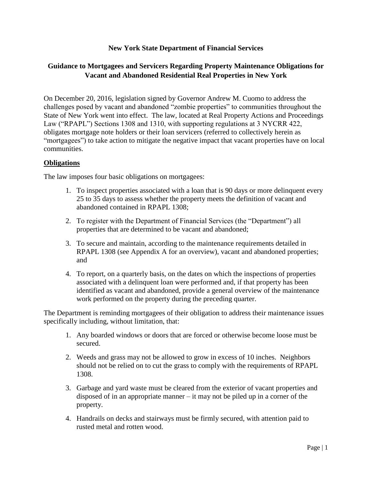#### **New York State Department of Financial Services**

## **Guidance to Mortgagees and Servicers Regarding Property Maintenance Obligations for Vacant and Abandoned Residential Real Properties in New York**

On December 20, 2016, legislation signed by Governor Andrew M. Cuomo to address the challenges posed by vacant and abandoned "zombie properties" to communities throughout the State of New York went into effect. The law, located at Real Property Actions and Proceedings Law ("RPAPL") Sections 1308 and 1310, with supporting regulations at 3 NYCRR 422, obligates mortgage note holders or their loan servicers (referred to collectively herein as "mortgagees") to take action to mitigate the negative impact that vacant properties have on local communities.

#### **Obligations**

The law imposes four basic obligations on mortgagees:

- 1. To inspect properties associated with a loan that is 90 days or more delinquent every 25 to 35 days to assess whether the property meets the definition of vacant and abandoned contained in RPAPL 1308;
- 2. To register with the Department of Financial Services (the "Department") all properties that are determined to be vacant and abandoned;
- 3. To secure and maintain, according to the maintenance requirements detailed in RPAPL 1308 (see Appendix A for an overview), vacant and abandoned properties; and
- 4. To report, on a quarterly basis, on the dates on which the inspections of properties associated with a delinquent loan were performed and, if that property has been identified as vacant and abandoned, provide a general overview of the maintenance work performed on the property during the preceding quarter.

The Department is reminding mortgagees of their obligation to address their maintenance issues specifically including, without limitation, that:

- 1. Any boarded windows or doors that are forced or otherwise become loose must be secured.
- 2. Weeds and grass may not be allowed to grow in excess of 10 inches. Neighbors should not be relied on to cut the grass to comply with the requirements of RPAPL 1308.
- 3. Garbage and yard waste must be cleared from the exterior of vacant properties and disposed of in an appropriate manner – it may not be piled up in a corner of the property.
- 4. Handrails on decks and stairways must be firmly secured, with attention paid to rusted metal and rotten wood.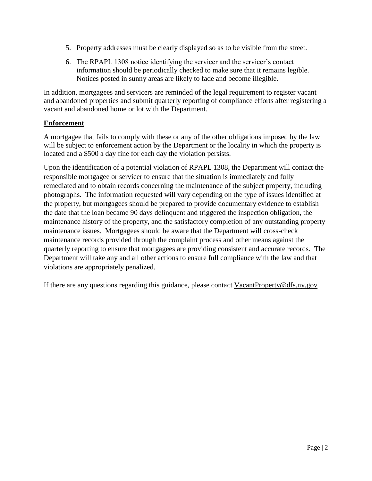- 5. Property addresses must be clearly displayed so as to be visible from the street.
- 6. The RPAPL 1308 notice identifying the servicer and the servicer's contact information should be periodically checked to make sure that it remains legible. Notices posted in sunny areas are likely to fade and become illegible.

In addition, mortgagees and servicers are reminded of the legal requirement to register vacant and abandoned properties and submit quarterly reporting of compliance efforts after registering a vacant and abandoned home or lot with the Department.

## **Enforcement**

A mortgagee that fails to comply with these or any of the other obligations imposed by the law will be subject to enforcement action by the Department or the locality in which the property is located and a \$500 a day fine for each day the violation persists.

Upon the identification of a potential violation of RPAPL 1308, the Department will contact the responsible mortgagee or servicer to ensure that the situation is immediately and fully remediated and to obtain records concerning the maintenance of the subject property, including photographs. The information requested will vary depending on the type of issues identified at the property, but mortgagees should be prepared to provide documentary evidence to establish the date that the loan became 90 days delinquent and triggered the inspection obligation, the maintenance history of the property, and the satisfactory completion of any outstanding property maintenance issues. Mortgagees should be aware that the Department will cross-check maintenance records provided through the complaint process and other means against the quarterly reporting to ensure that mortgagees are providing consistent and accurate records. The Department will take any and all other actions to ensure full compliance with the law and that violations are appropriately penalized.

If there are any questions regarding this guidance, please contact [VacantProperty@dfs.ny.gov](mailto:VacantProperty@dfs.ny.gov)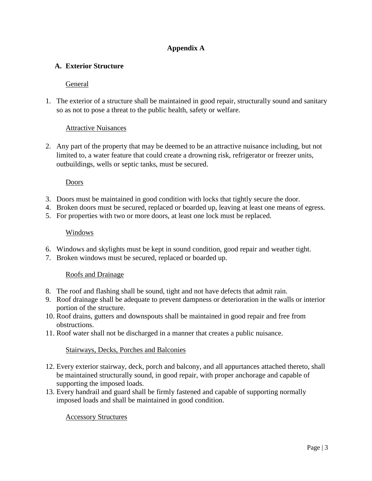## **Appendix A**

## **A. Exterior Structure**

### General

1. The exterior of a structure shall be maintained in good repair, structurally sound and sanitary so as not to pose a threat to the public health, safety or welfare.

### Attractive Nuisances

2. Any part of the property that may be deemed to be an attractive nuisance including, but not limited to, a water feature that could create a drowning risk, refrigerator or freezer units, outbuildings, wells or septic tanks, must be secured.

# Doors

- 3. Doors must be maintained in good condition with locks that tightly secure the door.
- 4. Broken doors must be secured, replaced or boarded up, leaving at least one means of egress.
- 5. For properties with two or more doors, at least one lock must be replaced.

### Windows

- 6. Windows and skylights must be kept in sound condition, good repair and weather tight.
- 7. Broken windows must be secured, replaced or boarded up.

### Roofs and Drainage

- 8. The roof and flashing shall be sound, tight and not have defects that admit rain.
- 9. Roof drainage shall be adequate to prevent dampness or deterioration in the walls or interior portion of the structure.
- 10. Roof drains, gutters and downspouts shall be maintained in good repair and free from obstructions.
- 11. Roof water shall not be discharged in a manner that creates a public nuisance.

### Stairways, Decks, Porches and Balconies

- 12. Every exterior stairway, deck, porch and balcony, and all appurtances attached thereto, shall be maintained structurally sound, in good repair, with proper anchorage and capable of supporting the imposed loads.
- 13. Every handrail and guard shall be firmly fastened and capable of supporting normally imposed loads and shall be maintained in good condition.

### Accessory Structures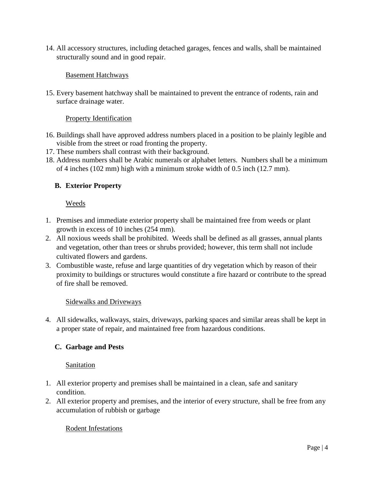14. All accessory structures, including detached garages, fences and walls, shall be maintained structurally sound and in good repair.

### Basement Hatchways

15. Every basement hatchway shall be maintained to prevent the entrance of rodents, rain and surface drainage water.

### Property Identification

- 16. Buildings shall have approved address numbers placed in a position to be plainly legible and visible from the street or road fronting the property.
- 17. These numbers shall contrast with their background.
- 18. Address numbers shall be Arabic numerals or alphabet letters. Numbers shall be a minimum of 4 inches (102 mm) high with a minimum stroke width of 0.5 inch (12.7 mm).

### **B. Exterior Property**

#### Weeds

- 1. Premises and immediate exterior property shall be maintained free from weeds or plant growth in excess of 10 inches (254 mm).
- 2. All noxious weeds shall be prohibited. Weeds shall be defined as all grasses, annual plants and vegetation, other than trees or shrubs provided; however, this term shall not include cultivated flowers and gardens.
- 3. Combustible waste, refuse and large quantities of dry vegetation which by reason of their proximity to buildings or structures would constitute a fire hazard or contribute to the spread of fire shall be removed.

#### Sidewalks and Driveways

4. All sidewalks, walkways, stairs, driveways, parking spaces and similar areas shall be kept in a proper state of repair, and maintained free from hazardous conditions.

### **C. Garbage and Pests**

### Sanitation

- 1. All exterior property and premises shall be maintained in a clean, safe and sanitary condition.
- 2. All exterior property and premises, and the interior of every structure, shall be free from any accumulation of rubbish or garbage

### Rodent Infestations